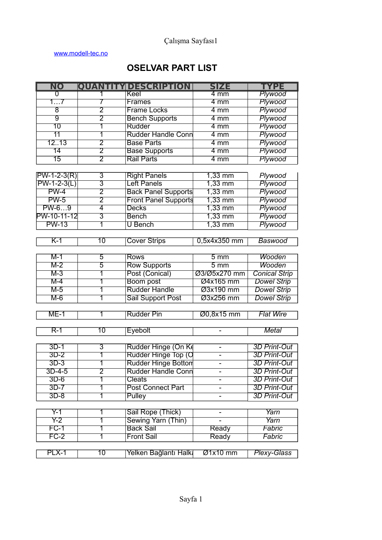## [www.modell-tec.no](http://www.modell-tec.no/)

## **OSELVAR PART LIST**

| <b>NO</b>       | <b>OUANT</b>            | <b>DESCRIPTION</b>          | SIZE                     | <b>TYPE</b>          |
|-----------------|-------------------------|-----------------------------|--------------------------|----------------------|
| σ               |                         | Keel                        | $4 \text{ mm}$           | Plywood              |
| 17              | 7                       | <b>Frames</b>               | $4 \text{ mm}$           | Plywood              |
| $\overline{8}$  | $\overline{2}$          | <b>Frame Locks</b>          | $4 \text{ mm}$           | Plywood              |
| $\overline{9}$  | $\overline{2}$          | <b>Bench Supports</b>       | $4 \text{ mm}$           | Plywood              |
| $\overline{10}$ | $\overline{1}$          | Rudder                      | $4 \text{ mm}$           | Plywood              |
| $\overline{11}$ | 1                       | <b>Rudder Handle Conn</b>   | $4 \text{ mm}$           | Plywood              |
| 1213            | $\overline{2}$          | <b>Base Parts</b>           | $4 \text{ mm}$           | Plywood              |
| $\overline{14}$ | $\overline{2}$          | <b>Base Supports</b>        | $4 \text{ mm}$           | Plywood              |
| $\overline{15}$ | $\overline{2}$          | <b>Rail Parts</b>           | $4 \text{ mm}$           | Plywood              |
|                 |                         |                             |                          |                      |
| $PW-1-2-3(R)$   | 3                       | <b>Right Panels</b>         | $1,33$ mm                | Plywood              |
| $PW-1-2-3(L)$   | $\overline{3}$          | <b>Left Panels</b>          | $1,33$ mm                | Plywood              |
| $PW-4$          | $\overline{2}$          | <b>Back Panel Supports</b>  | $1,33$ mm                | Plywood              |
| $PW-5$          | $\overline{2}$          | <b>Front Panel Supports</b> | $1,33$ mm                | Plywood              |
| $PW-69$         | $\overline{4}$          | <b>Decks</b>                | $1,33$ mm                | Plywood              |
| PW-10-11-12     | $\overline{3}$          | Bench                       | $1,33$ mm                | Plywood              |
| <b>PW-13</b>    | 1                       | <b>U</b> Bench              | $1,33$ mm                | Plywood              |
|                 |                         |                             |                          |                      |
| K-1             | 10                      | <b>Cover Strips</b>         | 0,5x4x350 mm             | <b>Baswood</b>       |
|                 |                         |                             |                          |                      |
| $M-1$           | 5                       | <b>Rows</b>                 | $5 \,\mathrm{mm}$        | Wooden               |
| $M-2$           | 5                       | <b>Row Supports</b>         | $5 \text{ mm}$           | Wooden               |
| $M-3$           | 1                       | Post (Conical)              | Ø3/Ø5x270 mm             | <b>Conical Strip</b> |
| $M-4$           | 1                       | Boom post                   | Ø4x165 mm                | <b>Dowel Strip</b>   |
| $M-5$           | 1                       | <b>Rudder Handle</b>        | Ø3x190 mm                | <b>Dowel Strip</b>   |
| $M-6$           | 1                       | <b>Sail Support Post</b>    | Ø3x256 mm                | <b>Dowel Strip</b>   |
|                 |                         |                             |                          |                      |
| $ME-1$          | 1                       | <b>Rudder Pin</b>           | Ø0,8x15 mm               | <b>Flat Wire</b>     |
|                 |                         |                             |                          |                      |
| $R-1$           | 10                      | Eyebolt                     | ÷,                       | <b>Metal</b>         |
|                 |                         |                             |                          |                      |
| $3D-1$          | 3                       | Rudder Hinge (On Ke         | $\blacksquare$           | <b>3D Print-Out</b>  |
| $3D-2$          | $\overline{\mathbb{1}}$ | Rudder Hinge Top (O         |                          | 3D Print-Out         |
| $3D-3$          | 1                       | <b>Rudder Hinge Botton</b>  |                          | <b>3D Print-Out</b>  |
| $3D-4-5$        | $\overline{2}$          | Rudder Handle Conn          |                          | <b>3D Print-Out</b>  |
| $3D-6$          | 1                       | <b>Cleats</b>               |                          | <b>3D Print-Out</b>  |
| $3D-7$          | 1                       | <b>Post Connect Part</b>    |                          | <b>3D Print-Out</b>  |
| $3D-8$          | 1                       | <b>Pulley</b>               |                          | <b>3D Print-Out</b>  |
|                 |                         |                             | -                        |                      |
|                 |                         |                             |                          |                      |
| Y-1             | 1                       | Sail Rope (Thick)           | $\overline{\phantom{a}}$ | Yarn                 |
| $Y-2$           | 1                       | Sewing Yarn (Thin)          |                          | Yarn                 |
| $FC-1$          | 1                       | <b>Back Sail</b>            | Ready                    | Fabric               |
| $FC-2$          | 1                       | <b>Front Sail</b>           | Ready                    | Fabric               |
|                 |                         |                             |                          |                      |
| PLX-1           | 10                      | Yelken Bağlantı Halki       | $Ø1x10$ mm               | <b>Plexy-Glass</b>   |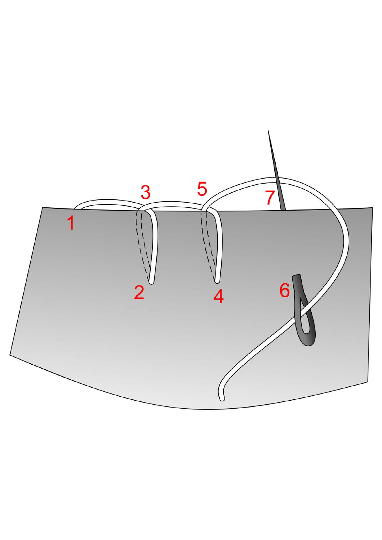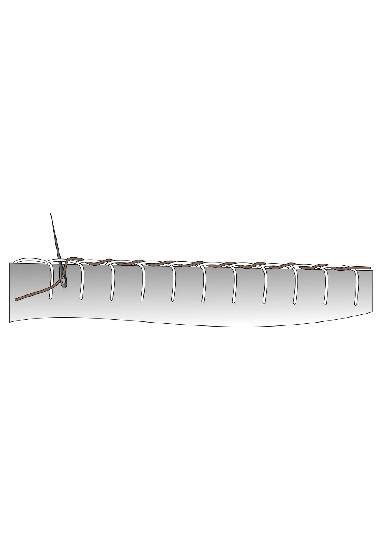